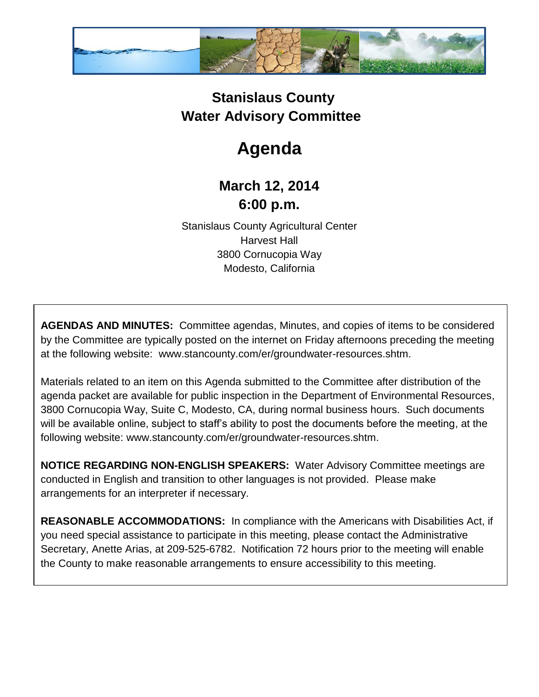

## **Stanislaus County Water Advisory Committee**

## **Agenda**

## **March 12, 2014 6:00 p.m.**

Stanislaus County Agricultural Center Harvest Hall 3800 Cornucopia Way Modesto, California

**AGENDAS AND MINUTES:** Committee agendas, Minutes, and copies of items to be considered by the Committee are typically posted on the internet on Friday afternoons preceding the meeting at the following website: www.stancounty.com/er/groundwater-resources.shtm.

Materials related to an item on this Agenda submitted to the Committee after distribution of the agenda packet are available for public inspection in the Department of Environmental Resources, 3800 Cornucopia Way, Suite C, Modesto, CA, during normal business hours. Such documents will be available online, subject to staff's ability to post the documents before the meeting, at the following website: www.stancounty.com/er/groundwater-resources.shtm.

**NOTICE REGARDING NON-ENGLISH SPEAKERS:** Water Advisory Committee meetings are conducted in English and transition to other languages is not provided. Please make arrangements for an interpreter if necessary.

**REASONABLE ACCOMMODATIONS:** In compliance with the Americans with Disabilities Act, if you need special assistance to participate in this meeting, please contact the Administrative Secretary, Anette Arias, at 209-525-6782. Notification 72 hours prior to the meeting will enable the County to make reasonable arrangements to ensure accessibility to this meeting.